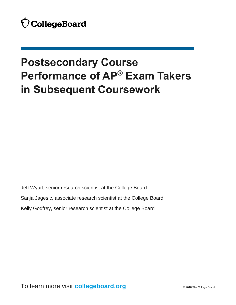# **Postsecondary Course Performance of AP® Exam Takers in Subsequent Coursework**

Jeff Wyatt, senior research scientist at the College Board Sanja Jagesic, associate research scientist at the College Board Kelly Godfrey, senior research scientist at the College Board

To learn more visit **collegeboard.org** © 2018 The College Board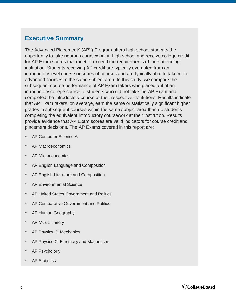# **Executive Summary**

 institution. Students receiving AP credit are typically exempted from an subsequent course performance of AP Exam takers who placed out of an The Advanced Placement® (AP®) Program offers high school students the opportunity to take rigorous coursework in high school and receive college credit for AP Exam scores that meet or exceed the requirements of their attending introductory level course or series of courses and are typically able to take more advanced courses in the same subject area. In this study, we compare the introductory college course to students who did not take the AP Exam and completed the introductory course at their respective institutions. Results indicate that AP Exam takers, on average, earn the same or statistically significant higher grades in subsequent courses within the same subject area than do students completing the equivalent introductory coursework at their institution. Results provide evidence that AP Exam scores are valid indicators for course credit and placement decisions. The AP Exams covered in this report are:

- AP Computer Science A
- AP Macroeconomics
- AP Microeconomics
- AP English Language and Composition
- AP English Literature and Composition
- AP Environmental Science
- AP United States Government and Politics
- AP Comparative Government and Politics
- AP Human Geography
- AP Music Theory
- AP Physics C: Mechanics
- AP Physics C: Electricity and Magnetism
- AP Psychology
- AP Statistics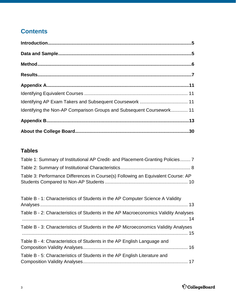# **Contents**

| Identifying the Non-AP Comparison Groups and Subsequent Coursework 11 |     |
|-----------------------------------------------------------------------|-----|
|                                                                       |     |
|                                                                       | .30 |

# **[Tables](#page-6-0)**

| Table 1: Summary of Institutional AP Credit- and Placement-Granting Policies 7   |  |
|----------------------------------------------------------------------------------|--|
|                                                                                  |  |
| Table 3: Performance Differences in Course(s) Following an Equivalent Course: AP |  |

| Table B - 1: Characteristics of Students in the AP Computer Science A Validity      |
|-------------------------------------------------------------------------------------|
| Table B - 2: Characteristics of Students in the AP Macroeconomics Validity Analyses |
| Table B - 3: Characteristics of Students in the AP Microeconomics Validity Analyses |
| Table B - 4: Characteristics of Students in the AP English Language and             |
| Table B - 5: Characteristics of Students in the AP English Literature and           |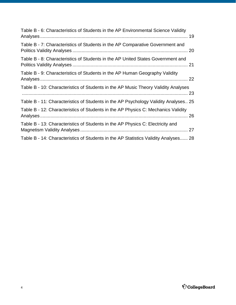| Table B - 6: Characteristics of Students in the AP Environmental Science Validity   |  |
|-------------------------------------------------------------------------------------|--|
| Table B - 7: Characteristics of Students in the AP Comparative Government and       |  |
| Table B - 8: Characteristics of Students in the AP United States Government and     |  |
| Table B - 9: Characteristics of Students in the AP Human Geography Validity         |  |
| Table B - 10: Characteristics of Students in the AP Music Theory Validity Analyses  |  |
| Table B - 11: Characteristics of Students in the AP Psychology Validity Analyses 25 |  |
| Table B - 12: Characteristics of Students in the AP Physics C: Mechanics Validity   |  |
| Table B - 13: Characteristics of Students in the AP Physics C: Electricity and      |  |
| Table B - 14: Characteristics of Students in the AP Statistics Validity Analyses 28 |  |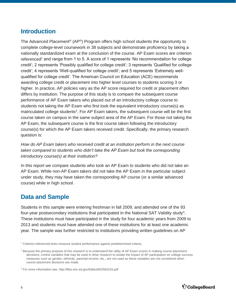# <span id="page-4-0"></span>**Introduction**

 The Advanced Placement® (AP®) Program offers high school students the opportunity to complete college-level coursework in 38 subjects and demonstrate proficiency by taking a nationally standardized exam at the conclusion of the course. AP Exam scores are criterion referenced<sup>1</sup> and range from 1 to 5. A score of 1 represents 'No recommendation for college credit'; 2 represents 'Possibly qualified for college credit'; 3 represents 'Qualified for college credit'; 4 represents 'Well-qualified for college credit'; and 5 represents 'Extremely well- qualified for college credit'. The American Council on Education (ACE) recommends awarding college credit or placement into higher level courses to students scoring 3 or higher. In practice, AP policies vary as the AP score required for credit or placement often differs by institution. The purpose of this study is to compare the subsequent course performance of AP Exam takers who placed out of an introductory college course to students not taking the AP Exam who first took the equivalent introductory course(s) as matriculated college students<sup>2</sup>. For AP Exam takers, the subsequent course will be the first course taken on campus in the same subject area of the AP Exam. For those not taking the AP Exam, the subsequent course is the first course taken following the introductory course(s) for which the AP Exam takers received credit. Specifically, the primary research question is:

 *How do AP Exam takers who received credit at an institution perform in the next course*  taken compared to students who didn't take the AP Exam but took the corresponding  *introductory course(s) at their institution?* 

 In this report we compare students who took an AP Exam to students who did not take an AP Exam. While non-AP Exam takers did not take the AP Exam in the particular subject under study, they may have taken the corresponding AP course (or a similar advanced course) while in high school.

# **Data and Sample**

 Students in this sample were entering freshman in fall 2009, and attended one of the 93 four-year postsecondary institutions that participated in the National SAT Validity study<sup>3</sup>. These institutions must have participated in the study for four academic years from 2009 to 2013 and students must have attended one of these institutions for at least one academic year. The sample was further restricted to institutions providing written guidelines on AP



<sup>&</sup>lt;sup>1</sup> Criterion-referenced tests measure student performance against predetermined criteria.

<sup>&</sup>lt;sup>2</sup> Because the primary purpose of this research is to understand the utility of AP Exam scores in making course placement decisions, control variables that may be used in other research to isolate the impact of AP participation on college success measures such as gender, ethnicity, parental income, etc., are not used as these variables are not considered when course placement decisions are made.

<sup>&</sup>lt;sup>3</sup> For more information see: http://files.eric.ed.gov/fulltext/ED563103.pdf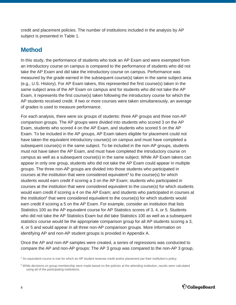<span id="page-5-0"></span> credit and placement policies. The number of institutions included in the analysis by AP subject is presented in Table 1.

# **Method**

 In this study, the performance of students who took an AP Exam and were exempted from an introductory course on campus is compared to the performance of students who did not take the AP Exam and did take the introductory course on campus. Performance was measured by the grade earned in the subsequent course(s) taken in the same subject area (e.g., U.S. History). For AP Exam takers, this represented the first course(s) taken in the same subject area of the AP Exam on campus and for students who did not take the AP Exam, it represents the first course(s) taken following the introductory course for which the AP students received credit. If two or more courses were taken simultaneously, an average of grades is used to measure performance.

 For each analysis, there were six groups of students: three AP groups and three non-AP comparison groups. The AP groups were divided into students who scored 3 on the AP Exam, students who scored 4 on the AP Exam, and students who scored 5 on the AP Exam. To be included in the AP groups, AP Exam takers eligible for placement could not have taken the equivalent introductory course(s) on campus and must have completed a subsequent course(s) in the same subject. To be included in the non-AP groups, students must not have taken the AP Exam, and must have completed the introductory course on campus as well as a subsequent course(s) in the same subject. While AP Exam takers can appear in only one group, students who did not take the AP Exam could appear in multiple groups. The three non-AP groups are divided into those students who participated in courses at the institution that were considered equivalent<sup>4</sup> to the course(s) for which students would earn credit if scoring a 3 on the AP Exam; students who participated in courses at the institution that were considered equivalent to the course(s) for which students would earn credit if scoring a 4 on the AP Exam; and students who participated in courses at the institution<sup>5</sup> that were considered equivalent to the course(s) for which students would earn credit if scoring a 5 on the AP Exam. For example, consider an institution that lists Statistics 100 as the AP equivalent course for AP Statistics scores of 3, 4, or 5. Students who did not take the AP Statistics Exam but did take Statistics 100 as well as a subsequent statistics course would be the appropriate comparison group for all AP students scoring a 3, 4, or 5 and would appear in all three non-AP comparison groups. More information on identifying AP and non-AP student groups is provided in Appendix A.

 Once the AP and non-AP samples were created, a series of regressions was conducted to compare the AP and non-AP groups: The AP 3 group was compared to the non-AP 3 group,

<sup>&</sup>lt;sup>5</sup> While decisions on group membership were made based on the policies at the attending institution, results were calculated using all of the participating institutions.



 4 An equivalent course is one for which an AP student receives credit and/or placement per their institution's policy.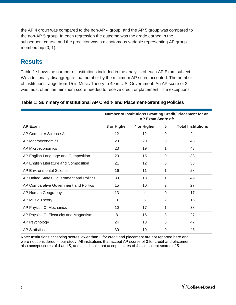<span id="page-6-0"></span> the AP 4 group was compared to the non-AP 4 group, and the AP 5 group was compared to the non-AP 5 group. In each regression the outcome was the grade earned in the subsequent course and the predictor was a dichotomous variable representing AP group membership (0, 1).

# **Results**

 Table 1 shows the number of institutions included in the analysis of each AP Exam subject. We additionally disaggregate that number by the minimum AP score accepted. The number of institutions range from 15 in Music Theory to 49 in U.S. Government. An AP score of 3 was most often the minimum score needed to receive credit or placement. The exceptions

|                                          | Number of Institutions Granting Credit/ Placement for an<br>AP Exam Score of: |             |             |                           |  |  |  |  |
|------------------------------------------|-------------------------------------------------------------------------------|-------------|-------------|---------------------------|--|--|--|--|
| <b>AP Exam</b>                           | 3 or Higher                                                                   | 4 or Higher | 5           | <b>Total Institutions</b> |  |  |  |  |
| AP Computer Science A                    | 12                                                                            | 12          | $\mathbf 0$ | 24                        |  |  |  |  |
| AP Macroeconomics                        | 23                                                                            | 20          | $\Omega$    | 43                        |  |  |  |  |
| AP Microeconomics                        | 23                                                                            | 19          | 1           | 43                        |  |  |  |  |
| AP English Language and Composition      | 23                                                                            | 15          | $\mathbf 0$ | 38                        |  |  |  |  |
| AP English Literature and Composition    | 21                                                                            | 12          | $\Omega$    | 33                        |  |  |  |  |
| AP Environmental Science                 | 16                                                                            | 11          | 1           | 28                        |  |  |  |  |
| AP United States Government and Politics | 30                                                                            | 18          | 1           | 49                        |  |  |  |  |
| AP Comparative Government and Politics   | 15                                                                            | 10          | 2           | 27                        |  |  |  |  |
| AP Human Geography                       | 13                                                                            | 4           | $\Omega$    | 17                        |  |  |  |  |
| AP Music Theory                          | 8                                                                             | 5           | 2           | 15                        |  |  |  |  |
| AP Physics C: Mechanics                  | 10                                                                            | 17          | 1           | 38                        |  |  |  |  |
| AP Physics C: Electricity and Magnetism  | 8                                                                             | 16          | 3           | 27                        |  |  |  |  |
| AP Psychology                            | 24                                                                            | 18          | 5           | 47                        |  |  |  |  |
| <b>AP Statistics</b>                     | 30                                                                            | 19          | $\Omega$    | 48                        |  |  |  |  |

#### **Table 1: Summary of Institutional AP Credit- and Placement-Granting Policies**

Note: Institutions accepting scores lower than 3 for credit and placement are not reported here and were not considered in our study. All institutions that accept AP scores of 3 for credit and placement also accept scores of 4 and 5, and all schools that accept scores of 4 also accept scores of 5.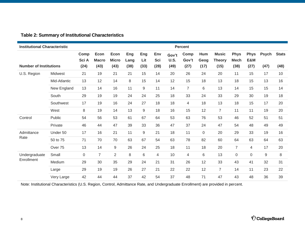| <b>Institutional Characteristic</b> |              |               |                             |                             |             |            |            |               | <b>Percent</b> |                |                               |                            |                    |              |              |
|-------------------------------------|--------------|---------------|-----------------------------|-----------------------------|-------------|------------|------------|---------------|----------------|----------------|-------------------------------|----------------------------|--------------------|--------------|--------------|
|                                     |              | Comp<br>Sci A | <b>Econ</b><br><b>Macro</b> | <b>Econ</b><br><b>Micro</b> | Eng<br>Lang | Eng<br>Lit | Env<br>Sci | Gov't<br>U.S. | Comp<br>Gov't  | Hum<br>Geog    | <b>Music</b><br><b>Theory</b> | <b>Phys</b><br><b>Mech</b> | <b>Phys</b><br>E&M | <b>Psych</b> | <b>Stats</b> |
| <b>Number of Institutions</b>       |              | (24)          | (43)                        | (43)                        | (38)        | (33)       | (28)       | (49)          | (27)           | (17)           | (15)                          | (38)                       | (27)               | (47)         | (48)         |
| U.S. Region                         | Midwest      | 21            | 19                          | 21                          | 21          | 15         | 14         | 20            | 26             | 24             | 20                            | 11                         | 15                 | 17           | 10           |
|                                     | Mid-Atlantic | 13            | 12                          | 14                          | 8           | 15         | 14         | 12            | 15             | 18             | 13                            | 18                         | 15                 | 13           | 16           |
|                                     | New England  | 13            | 14                          | 16                          | 11          | 9          | 11         | 14            | $\overline{7}$ | 6              | 13                            | 14                         | 15                 | 15           | 14           |
|                                     | South        | 29            | 19                          | 19                          | 24          | 24         | 25         | 18            | 33             | 24             | 33                            | 29                         | 30                 | 19           | 18           |
|                                     | Southwest    | 17            | 19                          | 16                          | 24          | 27         | 18         | 18            | 4              | 18             | 13                            | 18                         | 15                 | 17           | 20           |
|                                     | West         | 8             | 19                          | 14                          | 13          | 9          | 18         | 16            | 15             | 12             | $\overline{7}$                | 11                         | 11                 | 19           | 20           |
| Control                             | Public       | 54            | 56                          | 53                          | 61          | 67         | 64         | 53            | 63             | 76             | 53                            | 46                         | 52                 | 51           | 51           |
|                                     | Private      | 46            | 44                          | 47                          | 39          | 33         | 36         | 47            | 37             | 24             | 47                            | 54                         | 48                 | 49           | 49           |
| Admittance                          | Under 50     | 17            | 16                          | 21                          | 11          | 9          | 21         | 18            | 11             | $\mathbf 0$    | 20                            | 29                         | 33                 | 19           | 16           |
| Rate                                | 50 to 75     | 71            | 70                          | 70                          | 63          | 67         | 54         | 63            | 78             | 82             | 60                            | 64                         | 63                 | 64           | 63           |
|                                     | Over 75      | 13            | 14                          | 9                           | 26          | 24         | 25         | 18            | 11             | 18             | 20                            | $\overline{7}$             | $\overline{4}$     | 17           | 20           |
| Undergraduate                       | Small        | 0             | $\overline{7}$              | $\overline{2}$              | 8           | 6          | 4          | 10            | $\overline{4}$ | $6\phantom{1}$ | 13                            | 0                          | $\mathbf 0$        | 9            | 8            |
| Enrollment                          | Medium       | 29            | 30                          | 35                          | 29          | 24         | 21         | 31            | 26             | 12             | 33                            | 43                         | 41                 | 32           | 31           |
|                                     | Large        | 29            | 19                          | 19                          | 26          | 27         | 21         | 22            | 22             | 12             | $\overline{7}$                | 14                         | 11                 | 23           | 22           |
|                                     | Very Large   | 42            | 44                          | 44                          | 37          | 42         | 54         | 37            | 48             | 71             | 47                            | 43                         | 48                 | 36           | 39           |

#### <span id="page-7-0"></span> **Table 2: Summary of Institutional Characteristics**

Note: Institutional Characteristics (U.S. Region, Control, Admittance Rate, and Undergraduate Enrollment) are provided in percent.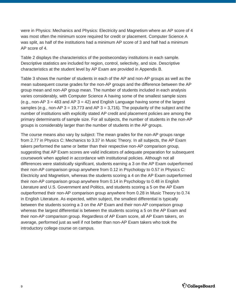were in Physics: Mechanics and Physics: Electricity and Magnetism where an AP score of 4 was most often the minimum score required for credit or placement. Computer Science A was split, as half of the institutions had a minimum AP score of 3 and half had a minimum AP score of 4.

 Table 2 displays the characteristics of the postsecondary institutions in each sample. Descriptive statistics are included for region, control, selectivity, and size. Descriptive characteristics at the student level by AP Exam are provided in Appendix B.

 Table 3 shows the number of students in each of the AP and non-AP groups as well as the mean subsequent course grades for the non-AP groups and the difference between the AP group mean and non-AP group mean. The number of students included in each analysis varies considerably, with Computer Science A having some of the smallest sample sizes (e.g., non-AP  $3 = 483$  and AP  $3 = 42$ ) and English Language having some of the largest samples (e.g., non-AP 3 = 19,773 and AP 3 = 3,716). The popularity of the subject and the number of institutions with explicitly stated AP credit and placement policies are among the primary determinants of sample size. For all subjects, the number of students in the non-AP groups is considerably larger than the number of students in the AP groups.

 The course means also vary by subject: The mean grades for the non-AP groups range from 2.77 in Physics C: Mechanics to 3.37 in Music Theory. In all subjects, the AP Exam takers performed the same or better than their respective non-AP comparison group, suggesting that AP Exam scores are valid indicators of adequate preparation for subsequent coursework when applied in accordance with institutional policies. Although not all differences were statistically significant, students earning a 3 on the AP Exam outperformed their non-AP comparison group anywhere from 0.12 in Psychology to 0.57 in Physics C: Electricity and Magnetism, whereas the students scoring a 4 on the AP Exam outperformed their non-AP comparison group anywhere from 0.14 in Psychology to 0.48 in English Literature and U.S. Government and Politics, and students scoring a 5 on the AP Exam outperformed their non-AP comparison group anywhere from 0.28 in Music Theory to 0.74 in English Literature. As expected, within subject, the smallest differential is typically between the students scoring a 3 on the AP Exam and their non-AP comparison group whereas the largest differential is between the students scoring a 5 on the AP Exam and their non-AP comparison group. Regardless of AP Exam score, all AP Exam takers, on average, performed just as well if not better than non-AP Exam takers who took the introductory college course on campus.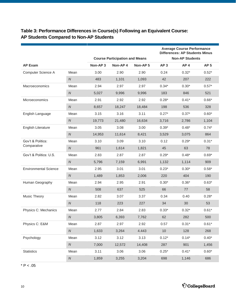### <span id="page-9-0"></span> **Table 3: Performance Differences in Course(s) Following an Equivalent Course: AP Students Compared to Non-AP Students**

|                              |                  |                     |                                       |                     |                 | <b>Average Course Performance</b><br><b>Differences: AP Students Minus</b> |                 |
|------------------------------|------------------|---------------------|---------------------------------------|---------------------|-----------------|----------------------------------------------------------------------------|-----------------|
|                              |                  |                     | <b>Course Participation and Means</b> |                     |                 | <b>Non-AP Students</b>                                                     |                 |
| <b>AP Exam</b>               |                  | Non-AP <sub>3</sub> | Non-AP4                               | Non-AP <sub>5</sub> | AP <sub>3</sub> | AP <sub>4</sub>                                                            | AP <sub>5</sub> |
| Computer Science A           | Mean             | 3.00                | 2.90                                  | 2.90                | 0.24            | $0.32*$                                                                    | $0.52*$         |
|                              | $\boldsymbol{N}$ | 483                 | 1,101                                 | 1,093               | 42              | 207                                                                        | 222             |
| Macroeconomics               | Mean             | 2.94                | 2.97                                  | 2.97                | $0.34*$         | $0.30*$                                                                    | $0.57*$         |
|                              | ${\cal N}$       | 5,027               | 9,996                                 | 9,996               | 183             | 846                                                                        | 521             |
| Microeconomics               | Mean             | 2.91                | 2.92                                  | 2.92                | $0.28*$         | $0.41*$                                                                    | $0.66*$         |
|                              | ${\cal N}$       | 8,657               | 18,247                                | 18,484              | 198             | 536                                                                        | 328             |
| English Language             | Mean             | 3.15                | 3.16                                  | 3.11                | $0.27*$         | $0.37*$                                                                    | $0.60*$         |
|                              | ${\cal N}$       | 19,773              | 21,480                                | 16,634              | 3,716           | 2,786                                                                      | 1,104           |
| English Literature           | Mean             | 3.05                | 3.08                                  | 3.00                | $0.39*$         | $0.48*$                                                                    | $0.74*$         |
|                              | ${\cal N}$       | 14,953              | 11,614                                | 8,421               | 3,529           | 3,075                                                                      | 864             |
| Gov't & Politics:            | Mean             | 3.10                | 3.09                                  | 3.10                | 0.12            | $0.29*$                                                                    | $0.31*$         |
| Comparative                  | $\boldsymbol{N}$ | 961                 | 1,614                                 | 1,821               | 45              | 63                                                                         | 78              |
| Gov't & Politics: U.S.       | Mean             | 2.83                | 2.87                                  | 2.87                | $0.29*$         | $0.48*$                                                                    | $0.69*$         |
|                              | ${\cal N}$       | 5,796               | 7,159                                 | 6,991               | 1,132           | 1,114                                                                      | 909             |
| <b>Environmental Science</b> | Mean             | 2.95                | 3.01                                  | 3.01                | $0.23*$         | $0.30*$                                                                    | $0.58*$         |
|                              | $\boldsymbol{N}$ | 1,489               | 1,853                                 | 2,006               | 220             | 404                                                                        | 190             |
| Human Geography              | Mean             | 2.94                | 2.95                                  | 2.91                | $0.30*$         | $0.36*$                                                                    | $0.63*$         |
|                              | ${\cal N}$       | 508                 | 637                                   | 525                 | 66              | 77                                                                         | 58              |
| <b>Music Theory</b>          | Mean             | 2.82                | 3.07                                  | 3.37                | 0.34            | 0.40                                                                       | $0.28*$         |
|                              | ${\cal N}$       | 118                 | 223                                   | 227                 | 34              | 30                                                                         | 53              |
| Physics C: Mechanics         | Mean             | 2.77                | 2.84                                  | 2.83                | $0.33*$         | $0.32*$                                                                    | $0.61*$         |
|                              | ${\cal N}$       | 3,805               | 6,393                                 | 7,762               | 62              | 282                                                                        | 500             |
| Physics C: E&M               | Mean             | 2.87                | 2.97                                  | 2.92                | 0.57            | $0.31*$                                                                    | $0.61*$         |
|                              | ${\cal N}$       | 1,633               | 3,264                                 | 4.443               | 10              | 128                                                                        | 268             |
| Psychology                   | Mean             | 3.12                | 3.12                                  | 3.13                | $0.12*$         | $0.14*$                                                                    | $0.40*$         |
|                              | ${\cal N}$       | 7,000               | 12,572                                | 14,408              | 287             | 901                                                                        | 1,456           |
| <b>Statistics</b>            | Mean             | 3.11                | 3.06                                  | 3.06                | $0.25*$         | $0.41*$                                                                    | $0.60*$         |
|                              | ${\cal N}$       | 1,859               | 3,255                                 | 3,204               | 698             | 1,146                                                                      | 686             |

\* P < .05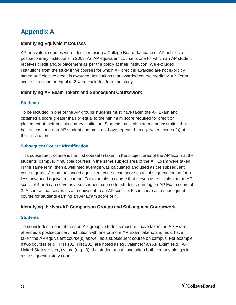# <span id="page-10-0"></span>**Appendix A**

#### **Identifying Equivalent Courses**

 AP equivalent courses were identified using a College Board database of AP policies at postsecondary institutions in 2009. An AP equivalent course is one for which an AP student receives credit and/or placement as per the policy at their institution. We excluded institutions from the study if the courses for which AP credit is awarded are not explicitly stated or if elective credit is awarded. Institutions that awarded course credit for AP Exam scores less than or equal to 2 were excluded from the study.

#### **Identifying AP Exam Takers and Subsequent Coursework**

#### **Students**

 To be included in one of the AP groups students must have taken the AP Exam and obtained a score greater than or equal to the minimum score required for credit or placement at their postsecondary institution. Students must also attend an institution that has at least one non-AP student and must not have repeated an equivalent course(s) at their institution.

#### **Subsequent Course Identification**

 This subsequent course is the first course(s) taken in the subject area of the AP Exam at the students' campus. If multiple courses in the same subject area of the AP Exam were taken in the same term, then a weighted average was calculated and used as the subsequent course grade. A more advanced equivalent course can serve as a subsequent course for a less advanced equivalent course. For example, a course that serves as equivalent to an AP score of 4 or 5 can serve as a subsequent course for students earning an AP Exam score of 3. A course that serves as an equivalent to an AP score of 5 can serve as a subsequent course for students earning an AP Exam score of 4.

#### **Identifying the Non-AP Comparison Groups and Subsequent Coursework**

#### **Students**

 To be included in one of the non-AP groups, students must not have taken the AP Exam, attended a postsecondary institution with one or more AP Exam takers, and must have taken the AP equivalent course(s) as well as a subsequent course on campus. For example, if two courses (e.g., Hist 101, Hist 201) are noted as equivalent for an AP Exam (e.g., AP United States History) score (e.g., 3), the student must have taken both courses along with a subsequent history course.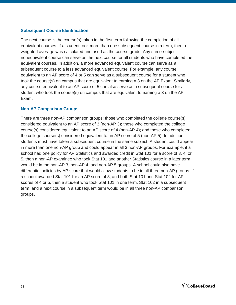#### **Subsequent Course Identification**

 The next course is the course(s) taken in the first term following the completion of all equivalent courses. If a student took more than one subsequent course in a term, then a weighted average was calculated and used as the course grade. Any same-subject nonequivalent course can serve as the next course for all students who have completed the equivalent courses. In addition, a more advanced equivalent course can serve as a subsequent course to a less advanced equivalent course. For example, any course equivalent to an AP score of 4 or 5 can serve as a subsequent course for a student who took the course(s) on campus that are equivalent to earning a 3 on the AP Exam. Similarly, any course equivalent to an AP score of 5 can also serve as a subsequent course for a student who took the course(s) on campus that are equivalent to earning a 3 on the AP Exam.

#### **Non-AP Comparison Groups**

 There are three non-AP comparison groups: those who completed the college course(s) considered equivalent to an AP score of 3 (non-AP 3); those who completed the college course(s) considered equivalent to an AP score of 4 (non-AP 4); and those who completed the college course(s) considered equivalent to an AP score of 5 (non-AP 5). In addition, students must have taken a subsequent course in the same subject. A student could appear in more than one non-AP group and could appear in all 3 non-AP groups. For example, if a school had one policy for AP Statistics and awarded credit in Stat 101 for a score of 3, 4 or 5, then a non-AP examinee who took Stat 101 and another Statistics course in a later term would be in the non-AP 3, non-AP 4, and non-AP 5 groups. A school could also have differential policies by AP score that would allow students to be in all three non-AP groups. If a school awarded Stat 101 for an AP score of 3, and both Stat 101 and Stat 102 for AP scores of 4 or 5, then a student who took Stat 101 in one term, Stat 102 in a subsequent term, and a next course in a subsequent term would be in all three non-AP comparison groups.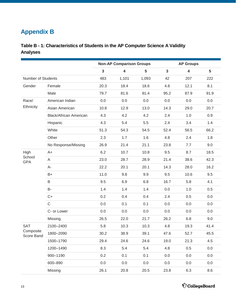# <span id="page-12-0"></span> **Appendix B**

### **Table B - 1: Characteristics of Students in the AP Computer Science A Validity Analyses**

|                         |                               |              | <b>Non-AP Comparison Groups</b> |       |              | <b>AP Groups</b>        |                |
|-------------------------|-------------------------------|--------------|---------------------------------|-------|--------------|-------------------------|----------------|
|                         |                               | $\mathbf{3}$ | $\overline{\mathbf{4}}$         | 5     | $\mathbf{3}$ | $\overline{\mathbf{4}}$ | $5\phantom{1}$ |
| Number of Students      |                               | 483          | 1,101                           | 1,093 | 42           | 207                     | 222            |
| Gender                  | Female                        | 20.3         | 18.4                            | 18.6  | 4.8          | 12.1                    | 8.1            |
|                         | Male                          | 79.7         | 81.6                            | 81.4  | 95.2         | 87.9                    | 91.9           |
| Race/                   | American Indian               | 0.0          | 0.0                             | 0.0   | 0.0          | 0.0                     | 0.0            |
| Ethnicity               | Asian American                | 10.8         | 12.9                            | 13.0  | 14.3         | 29.0                    | 20.7           |
|                         | <b>Black/African American</b> | 4.3          | 4.2                             | 4.2   | 2.4          | 1.0                     | 0.9            |
|                         | Hispanic                      | 4.3          | 5.4                             | 5.5   | 2.4          | 3.4                     | 1.4            |
|                         | White                         | 51.3         | 54.3                            | 54.5  | 52.4         | 56.5                    | 66.2           |
|                         | Other                         | 2.3          | 1.7                             | 1.6   | 4.8          | 2.4                     | 1.8            |
|                         | No Response/Missing           | 26.9         | 21.4                            | 21.1  | 23.8         | 7.7                     | 9.0            |
| High                    | $A+$                          | 6.2          | 10.7                            | 10.8  | 9.5          | 8.7                     | 18.5           |
| School<br><b>GPA</b>    | Α                             | 23.0         | 28.7                            | 28.9  | 21.4         | 38.6                    | 42.3           |
|                         | $A-$                          | 22.2         | 20.1                            | 20.1  | 14.3         | 28.0                    | 16.2           |
|                         | $B+$                          | 11.0         | 9.8                             | 9.9   | 9.5          | 10.6                    | 9.5            |
|                         | $\sf B$                       | 9.5          | 6.9                             | 6.8   | 16.7         | 5.8                     | 4.1            |
|                         | <b>B-</b>                     | 1.4          | 1.4                             | 1.4   | 0.0          | 1.0                     | 0.5            |
|                         | $C+$                          | 0.2          | 0.4                             | 0.4   | 2.4          | 0.5                     | 0.0            |
|                         | $\mathsf C$                   | 0.0          | 0.1                             | 0.1   | 0.0          | 0.0                     | 0.0            |
|                         | C- or Lower                   | 0.0          | 0.0                             | 0.0   | 0.0          | 0.0                     | 0.0            |
|                         | Missing                       | 26.5         | 22.0                            | 21.7  | 26.2         | 6.8                     | 9.0            |
| <b>SAT</b>              | 2100-2400                     | 5.8          | 10.3                            | 10.3  | 4.8          | 19.3                    | 41.4           |
| Composite<br>Score Band | 1800-2090                     | 30.2         | 38.9                            | 39.1  | 47.6         | 52.7                    | 45.5           |
|                         | 1500-1790                     | 29.4         | 24.6                            | 24.6  | 19.0         | 21.3                    | 4.5            |
|                         | 1200-1490                     | 8.3          | 5.4                             | 5.4   | 4.8          | 0.5                     | 0.0            |
|                         | 900-1190                      | 0.2          | 0.1                             | 0.1   | 0.0          | 0.0                     | 0.0            |
|                         | 600-890                       | 0.0          | 0.0                             | 0.0   | 0.0          | 0.0                     | 0.0            |
|                         | Missing                       | 26.1         | 20.8                            | 20.5  | 23.8         | 6.3                     | 8.6            |

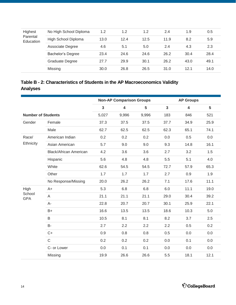<span id="page-13-0"></span>

| Highest<br>Parental<br>Education | No High School Diploma   | 1.2  | 1.2  | 1.2  | 2.4  | 1.9  | 0.5  |
|----------------------------------|--------------------------|------|------|------|------|------|------|
|                                  | High School Diploma      | 13.0 | 12.4 | 12.5 | 11.9 | 8.2  | 5.9  |
|                                  | Associate Degree         | 4.6  | 5.1  | 5.0  | 2.4  | 4.3  | 2.3  |
|                                  | <b>Bachelor's Degree</b> | 23.4 | 24.6 | 24.6 | 26.2 | 30.4 | 28.4 |
|                                  | Graduate Degree          | 27.7 | 29.9 | 30.1 | 26.2 | 43.0 | 49.1 |
|                                  | Missing                  | 30.0 | 26.8 | 26.5 | 31.0 | 12.1 | 14.0 |

### **Table B - 2: Characteristics of Students in the AP Macroeconomics Validity Analyses**

|                           |                               | <b>Non-AP Comparison Groups</b><br><b>AP Groups</b> |                         |       |              |                         |      |
|---------------------------|-------------------------------|-----------------------------------------------------|-------------------------|-------|--------------|-------------------------|------|
|                           |                               | $\overline{3}$                                      | $\overline{\mathbf{4}}$ | 5     | $\mathbf{3}$ | $\overline{\mathbf{4}}$ | 5    |
| <b>Number of Students</b> |                               | 5,027                                               | 9,996                   | 9,996 | 183          | 846                     | 521  |
| Gender                    | Female                        | 37.3                                                | 37.5                    | 37.5  | 37.7         | 34.9                    | 25.9 |
|                           | Male                          | 62.7                                                | 62.5                    | 62.5  | 62.3         | 65.1                    | 74.1 |
| Race/                     | American Indian               | 0.2                                                 | 0.2                     | 0.2   | 0.0          | 0.5                     | 0.0  |
| Ethnicity                 | Asian American                | 5.7                                                 | 9.0                     | 9.0   | 9.3          | 14.8                    | 16.1 |
|                           | <b>Black/African American</b> | 4.2                                                 | 3.6                     | 3.6   | 2.7          | 3.2                     | 1.5  |
|                           | Hispanic                      | 5.6                                                 | 4.8                     | 4.8   | 5.5          | 5.1                     | 4.0  |
|                           | White                         | 62.6                                                | 54.5                    | 54.5  | 72.7         | 57.9                    | 65.3 |
|                           | Other                         | 1.7                                                 | 1.7                     | 1.7   | 2.7          | 0.9                     | 1.9  |
|                           | No Response/Missing           | 20.0                                                | 26.2                    | 26.2  | 7.1          | 17.6                    | 11.1 |
| High                      | $A+$                          | 5.3                                                 | 6.8                     | 6.8   | 6.0          | 11.1                    | 19.0 |
| School<br><b>GPA</b>      | A                             | 21.1                                                | 21.1                    | 21.1  | 29.0         | 30.4                    | 39.2 |
|                           | A-                            | 22.8                                                | 20.7                    | 20.7  | 30.1         | 25.9                    | 22.1 |
|                           | $B+$                          | 16.6                                                | 13.5                    | 13.5  | 18.6         | 10.3                    | 5.0  |
|                           | B                             | 10.5                                                | 8.1                     | 8.1   | 8.2          | 3.7                     | 2.5  |
|                           | <b>B-</b>                     | 2.7                                                 | 2.2                     | 2.2   | 2.2          | 0.5                     | 0.2  |
|                           | $C+$                          | 0.9                                                 | 0.8                     | 0.8   | 0.5          | 0.0                     | 0.0  |
|                           | $\mathsf C$                   | 0.2                                                 | 0.2                     | 0.2   | 0.0          | 0.1                     | 0.0  |
|                           | C- or Lower                   | 0.0                                                 | 0.1                     | 0.1   | 0.0          | 0.0                     | 0.0  |
|                           | Missing                       | 19.9                                                | 26.6                    | 26.6  | 5.5          | 18.1                    | 12.1 |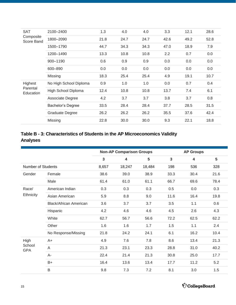<span id="page-14-0"></span>

| <b>SAT</b>              | 2100-2400                | 1.3  | 4.0  | 4.0  | 3.3  | 12.1 | 28.6 |
|-------------------------|--------------------------|------|------|------|------|------|------|
| Composite<br>Score Band | 1800-2090                | 21.8 | 24.7 | 24.7 | 42.6 | 49.2 | 52.8 |
|                         | 1500-1790                | 44.7 | 34.3 | 34.3 | 47.0 | 18.9 | 7.9  |
|                         | 1200-1490                | 13.3 | 10.8 | 10.8 | 2.2  | 0.7  | 0.0  |
|                         | 900-1190                 | 0.6  | 0.9  | 0.9  | 0.0  | 0.0  | 0.0  |
|                         | 600-890                  | 0.0  | 0.0  | 0.0  | 0.0  | 0.0  | 0.0  |
|                         | Missing                  | 18.3 | 25.4 | 25.4 | 4.9  | 19.1 | 10.7 |
| Highest                 | No High School Diploma   | 0.9  | 1.0  | 1.0  | 0.0  | 0.7  | 0.4  |
| Parental<br>Education   | High School Diploma      | 12.4 | 10.8 | 10.8 | 13.7 | 7.4  | 6.1  |
|                         | Associate Degree         | 4.2  | 3.7  | 3.7  | 3.8  | 3.7  | 0.8  |
|                         | <b>Bachelor's Degree</b> | 33.5 | 28.4 | 28.4 | 37.7 | 28.5 | 31.5 |
|                         | <b>Graduate Degree</b>   | 26.2 | 26.2 | 26.2 | 35.5 | 37.6 | 42.4 |
|                         | Missing                  | 22.8 | 30.0 | 30.0 | 9.3  | 22.1 | 18.8 |

### **Table B - 3: Characteristics of Students in the AP Microeconomics Validity Analyses**

|                           |                               |              | <b>Non-AP Comparison Groups</b><br><b>AP Groups</b> |        |              |      |      |  |  |
|---------------------------|-------------------------------|--------------|-----------------------------------------------------|--------|--------------|------|------|--|--|
|                           |                               | $\mathbf{3}$ | 4                                                   | 5      | $\mathbf{3}$ | 4    | 5    |  |  |
| <b>Number of Students</b> |                               | 8,657        | 18,247                                              | 18,484 | 198          | 536  | 328  |  |  |
| Gender                    | Female                        | 38.6         | 39.0                                                | 38.9   | 33.3         | 30.4 | 21.6 |  |  |
|                           | Male                          | 61.4         | 61.0                                                | 61.1   | 66.7         | 69.6 | 78.4 |  |  |
| Race/                     | American Indian               | 0.3          | 0.3                                                 | 0.3    | 0.5          | 0.0  | 0.3  |  |  |
| Ethnicity                 | Asian American                | 5.9          | 8.8                                                 | 9.0    | 11.6         | 16.4 | 19.8 |  |  |
|                           | <b>Black/African American</b> | 3.6          | 3.7                                                 | 3.7    | 3.5          | 1.1  | 0.6  |  |  |
|                           | Hispanic                      | 4.2          | 4.6                                                 | 4.6    | 4.5          | 2.6  | 4.3  |  |  |
|                           | White                         | 62.7         | 56.7                                                | 56.6   | 72.2         | 62.5 | 62.2 |  |  |
|                           | Other                         | 1.6          | 1.6                                                 | 1.7    | 1.5          | 1.1  | 2.4  |  |  |
|                           | No Response/Missing           | 21.8         | 24.2                                                | 24.1   | 6.1          | 16.2 | 10.4 |  |  |
| High                      | $A+$                          | 4.9          | 7.6                                                 | 7.8    | 8.6          | 13.4 | 21.3 |  |  |
| School<br><b>GPA</b>      | A                             | 21.3         | 23.1                                                | 23.3   | 28.8         | 31.0 | 40.2 |  |  |
|                           | A-                            | 22.4         | 21.4                                                | 21.3   | 30.8         | 25.0 | 17.7 |  |  |
|                           | $B+$                          | 16.4         | 13.6                                                | 13.4   | 17.7         | 11.2 | 5.2  |  |  |
|                           | B                             | 9.8          | 7.3                                                 | 7.2    | 8.1          | 3.0  | 1.5  |  |  |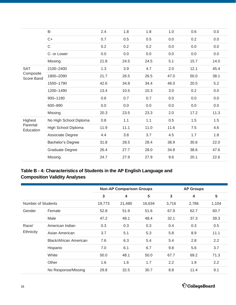<span id="page-15-0"></span>

|                         | B-                     | 2.4  | 1.8     | 1.8  | 1.0  | 0.6  | 0.0  |
|-------------------------|------------------------|------|---------|------|------|------|------|
|                         | $C+$                   | 0.7  | 0.5     | 0.5  | 0.0  | 0.2  | 0.0  |
|                         | $\mathsf C$            | 0.2  | 0.2     | 0.2  | 0.0  | 0.0  | 0.0  |
|                         | C- or Lower            | 0.0  | $0.0\,$ | 0.0  | 0.0  | 0.0  | 0.0  |
|                         | Missing                | 21.8 | 24.5    | 24.5 | 5.1  | 15.7 | 14.0 |
| <b>SAT</b>              | 2100-2400              | 1.3  | 3.9     | 4.7  | 2.0  | 12.1 | 45.4 |
| Composite<br>Score Band | 1800-2090              | 21.7 | 26.5    | 26.5 | 47.0 | 50.0 | 38.1 |
|                         | 1500-1790              | 42.6 | 34.8    | 34.4 | 46.0 | 20.5 | 5.2  |
|                         | 1200-1490              | 13.4 | 10.5    | 10.3 | 3.0  | 0.2  | 0.0  |
|                         | 900-1190               | 0.6  | 0.7     | 0.7  | 0.0  | 0.0  | 0.0  |
|                         | 600-890                | 0.0  | 0.0     | 0.0  | 0.0  | 0.0  | 0.0  |
|                         | Missing                | 20.3 | 23.5    | 23.3 | 2.0  | 17.2 | 11.3 |
| Highest                 | No High School Diploma | 0.8  | 1.1     | 1.1  | 0.5  | 1.5  | 1.5  |
| Parental<br>Education   | High School Diploma    | 11.9 | 11.1    | 11.0 | 11.6 | 7.5  | 4.6  |
|                         | Associate Degree       | 4.4  | 3.8     | 3.7  | 4.5  | 1.7  | 1.8  |
|                         | Bachelor's Degree      | 31.8 | 28.5    | 28.4 | 38.9 | 30.6 | 22.0 |
|                         | <b>Graduate Degree</b> | 26.4 | 27.7    | 28.0 | 34.8 | 38.6 | 47.6 |
|                         | Missing                | 24.7 | 27.9    | 27.9 | 9.6  | 20.1 | 22.6 |
|                         |                        |      |         |      |      |      |      |

### **Table B - 4: Characteristics of Students in the AP English Language and Composition Validity Analyses**

|                    |                               |        | <b>Non-AP Comparison Groups</b> |        |       | <b>AP Groups</b> |                |  |  |
|--------------------|-------------------------------|--------|---------------------------------|--------|-------|------------------|----------------|--|--|
|                    |                               | 3      | 4                               | 5      | 3     | 4                | $5\phantom{1}$ |  |  |
| Number of Students |                               | 19,773 | 21,480                          | 16,634 | 3,716 | 2,786            | 1,104          |  |  |
| Gender             | Female                        | 52.8   | 51.9                            | 51.6   | 67.9  | 62.7             | 60.7           |  |  |
|                    | Male                          | 47.2   | 48.1                            | 48.4   | 32.1  | 37.3             | 39.3           |  |  |
| Race/              | American Indian               | 0.3    | 0.3                             | 0.3    | 0.4   | 0.3              | 0.5            |  |  |
| Ethnicity          | Asian American                | 3.7    | 5.1                             | 5.3    | 5.8   | 8.9              | 11.1           |  |  |
|                    | <b>Black/African American</b> | 7.6    | 6.3                             | 5.4    | 5.4   | 2.8              | 2.2            |  |  |
|                    | Hispanic                      | 7.0    | 6.1                             | 6.7    | 9.8   | 5.6              | 3.7            |  |  |
|                    | White                         | 50.0   | 48.1                            | 50.0   | 67.7  | 69.2             | 71.3           |  |  |
|                    | Other                         | 1.6    | 1.6                             | 1.7    | 2.2   | 1.9              | 2.2            |  |  |
|                    | No Response/Missing           | 29.8   | 32.5                            | 30.7   | 8.8   | 11.4             | 9.1            |  |  |

 $\acute{\nabla}$ CollegeBoard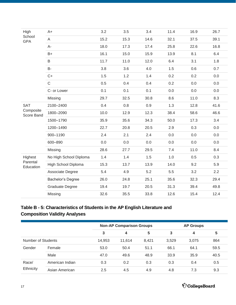<span id="page-16-0"></span>

| High                                  | $A+$                   | 3.2  | 3.5  | 3.4  | 11.4 | 16.9 | 26.7 |  |
|---------------------------------------|------------------------|------|------|------|------|------|------|--|
| School<br><b>GPA</b>                  | A                      | 15.2 | 15.3 | 14.6 | 32.1 | 37.5 | 39.1 |  |
|                                       | $A-$                   | 18.0 | 17.3 | 17.4 | 25.8 | 22.6 | 16.8 |  |
|                                       | $B+$                   | 16.1 | 15.0 | 15.9 | 13.9 | 8.1  | 6.4  |  |
|                                       | B                      | 11.7 | 11.0 | 12.0 | 6.4  | 3.1  | 1.8  |  |
|                                       | <b>B-</b>              | 3.8  | 3.6  | 4.0  | 1.5  | 0.6  | 0.7  |  |
|                                       | $C+$                   | 1.5  | 1.2  | 1.4  | 0.2  | 0.2  | 0.0  |  |
|                                       | $\mathsf C$            | 0.5  | 0.4  | 0.4  | 0.2  | 0.0  | 0.0  |  |
|                                       | C- or Lower            | 0.1  | 0.1  | 0.1  | 0.0  | 0.0  | 0.0  |  |
|                                       | Missing                | 29.7 | 32.5 | 30.8 | 8.6  | 11.0 | 8.3  |  |
| <b>SAT</b><br>Composite<br>Score Band | 2100-2400              | 0.4  | 0.8  | 0.9  | 1.3  | 12.8 | 41.6 |  |
|                                       | 1800-2090              | 10.0 | 12.9 | 12.3 | 38.4 | 58.6 | 46.6 |  |
|                                       | 1500-1790              | 35.9 | 35.6 | 34.3 | 50.0 | 17.3 | 3.4  |  |
|                                       | 1200-1490              | 22.7 | 20.8 | 20.5 | 2.9  | 0.3  | 0.0  |  |
|                                       | 900-1190               | 2.4  | 2.1  | 2.4  | 0.0  | 0.0  | 0.0  |  |
|                                       | 600-890                | 0.0  | 0.0  | 0.0  | 0.0  | 0.0  | 0.0  |  |
|                                       | Missing                | 28.6 | 27.7 | 29.5 | 7.4  | 11.0 | 8.4  |  |
| Highest                               | No High School Diploma | 1.4  | 1.4  | 1.5  | 1.0  | 0.5  | 0.3  |  |
| Parental<br>Education                 | High School Diploma    | 15.3 | 13.7 | 13.9 | 14.0 | 9.2  | 5.9  |  |
|                                       | Associate Degree       | 5.4  | 4.9  | 5.2  | 5.5  | 3.2  | 2.2  |  |
|                                       | Bachelor's Degree      | 26.0 | 24.8 | 25.1 | 35.6 | 32.3 | 29.4 |  |
|                                       | <b>Graduate Degree</b> | 19.4 | 19.7 | 20.5 | 31.3 | 39.4 | 49.8 |  |
|                                       | Missing                | 32.6 | 35.5 | 33.8 | 12.6 | 15.4 | 12.4 |  |
|                                       |                        |      |      |      |      |      |      |  |

### **Table B - 5: Characteristics of Students in the AP English Literature and Composition Validity Analyses**

|                    |                 |        | <b>Non-AP Comparison Groups</b> |       |       | <b>AP Groups</b> |      |  |  |
|--------------------|-----------------|--------|---------------------------------|-------|-------|------------------|------|--|--|
|                    |                 | 3      | 4                               | 5     | 3     | 4                | 5    |  |  |
| Number of Students |                 | 14,953 | 11.614                          | 8.421 | 3,529 | 3,075            | 864  |  |  |
| Gender             | Female          | 53.0   | 50.4                            | 51.1  | 66.1  | 64.1             | 59.5 |  |  |
|                    | Male            | 47.0   | 49.6                            | 48.9  | 33.9  | 35.9             | 40.5 |  |  |
| Race/<br>Ethnicity | American Indian | 0.3    | 0.2                             | 0.3   | 0.3   | 0.4              | 0.5  |  |  |
|                    | Asian American  | 2.5    | 4.5                             | 4.9   | 4.8   | 7.3              | 9.3  |  |  |

 $\acute{\bigcirc}$  CollegeBoard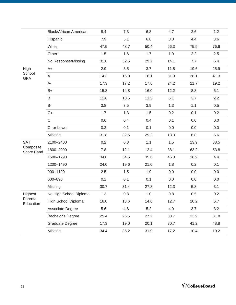|                         | <b>Black/African American</b> | 8.4  | 7.3  | 6.8  | 4.7  | 2.6  | 1.2  |
|-------------------------|-------------------------------|------|------|------|------|------|------|
|                         | Hispanic                      | 7.9  | 5.1  | 6.8  | 8.0  | 4.4  | 3.6  |
|                         | White                         | 47.5 | 48.7 | 50.4 | 66.3 | 75.5 | 76.6 |
|                         | Other                         | 1.5  | 1.6  | 1.7  | 1.9  | 2.2  | 2.5  |
|                         | No Response/Missing           | 31.8 | 32.6 | 29.2 | 14.1 | 7.7  | 6.4  |
| High                    | $A+$                          | 2.9  | 3.5  | 3.7  | 11.8 | 19.6 | 25.9 |
| School<br><b>GPA</b>    | A                             | 14.3 | 16.0 | 16.1 | 31.9 | 38.1 | 41.3 |
|                         | A-                            | 17.3 | 17.2 | 17.6 | 24.2 | 21.7 | 19.2 |
|                         | $B+$                          | 15.8 | 14.8 | 16.0 | 12.2 | 8.8  | 5.1  |
|                         | B                             | 11.6 | 10.5 | 11.5 | 5.1  | 3.7  | 2.2  |
|                         | B-                            | 3.8  | 3.5  | 3.9  | 1.3  | 1.1  | 0.5  |
|                         | $C+$                          | 1.7  | 1.3  | 1.5  | 0.2  | 0.1  | 0.2  |
|                         | $\mathsf C$                   | 0.6  | 0.4  | 0.4  | 0.1  | 0.0  | 0.0  |
|                         | C- or Lower                   | 0.2  | 0.1  | 0.1  | 0.0  | 0.0  | 0.0  |
|                         | Missing                       | 31.8 | 32.6 | 29.2 | 13.3 | 6.8  | 5.6  |
| <b>SAT</b>              | 2100-2400                     | 0.2  | 0.8  | 1.1  | 1.5  | 13.9 | 38.5 |
| Composite<br>Score Band | 1800-2090                     | 7.8  | 12.1 | 12.4 | 38.1 | 63.2 | 53.8 |
|                         | 1500-1790                     | 34.8 | 34.6 | 35.6 | 46.3 | 16.9 | 4.4  |
|                         | 1200-1490                     | 24.0 | 19.6 | 21.0 | 1.8  | 0.2  | 0.1  |
|                         | 900-1190                      | 2.5  | 1.5  | 1.9  | 0.0  | 0.0  | 0.0  |
|                         | 600-890                       | 0.1  | 0.1  | 0.1  | 0.0  | 0.0  | 0.0  |
|                         | Missing                       | 30.7 | 31.4 | 27.8 | 12.3 | 5.8  | 3.1  |
| Highest                 | No High School Diploma        | 1.3  | 0.8  | 1.0  | 0.8  | 0.5  | 0.2  |
| Parental<br>Education   | High School Diploma           | 16.0 | 13.6 | 14.6 | 12.7 | 10.2 | 5.7  |
|                         | Associate Degree              | 5.6  | 4.8  | 5.2  | 4.9  | 3.7  | 3.2  |
|                         | Bachelor's Degree             | 25.4 | 26.5 | 27.2 | 33.7 | 33.9 | 31.8 |
|                         | Graduate Degree               | 17.3 | 19.0 | 20.1 | 30.7 | 41.2 | 48.8 |
|                         | Missing                       | 34.4 | 35.2 | 31.9 | 17.2 | 10.4 | 10.2 |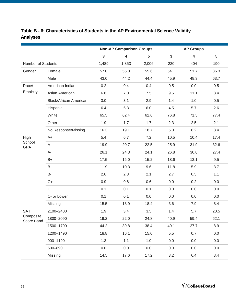|                         |                               | <b>Non-AP Comparison Groups</b> |                         |       |              | <b>AP Groups</b>        |                 |  |  |
|-------------------------|-------------------------------|---------------------------------|-------------------------|-------|--------------|-------------------------|-----------------|--|--|
|                         |                               | $\mathbf{3}$                    | $\overline{\mathbf{4}}$ | 5     | $\mathbf{3}$ | $\overline{\mathbf{4}}$ | $5\phantom{.0}$ |  |  |
| Number of Students      |                               | 1,489                           | 1,853                   | 2,006 | 220          | 404                     | 190             |  |  |
| Gender                  | Female                        | 57.0                            | 55.8                    | 55.6  | 54.1         | 51.7                    | 36.3            |  |  |
|                         | Male                          | 43.0                            | 44.2                    | 44.4  | 45.9         | 48.3                    | 63.7            |  |  |
| Race/                   | American Indian               | 0.2                             | 0.4                     | 0.4   | 0.5          | 0.0                     | 0.5             |  |  |
| Ethnicity               | Asian American                | 6.6                             | 7.0                     | 7.5   | 9.5          | 11.1                    | 8.4             |  |  |
|                         | <b>Black/African American</b> | 3.0                             | 3.1                     | 2.9   | 1.4          | 1.0                     | 0.5             |  |  |
|                         | Hispanic                      | 6.4                             | 6.3                     | 6.0   | 4.5          | 5.7                     | 2.6             |  |  |
|                         | White                         | 65.5                            | 62.4                    | 62.6  | 76.8         | 71.5                    | 77.4            |  |  |
|                         | Other                         | 1.9                             | 1.7                     | 1.7   | 2.3          | 2.5                     | 2.1             |  |  |
|                         | No Response/Missing           | 16.3                            | 19.1                    | 18.7  | 5.0          | 8.2                     | 8.4             |  |  |
| High                    | $A+$                          | 5.4                             | 6.7                     | 7.2   | 10.5         | 10.4                    | 17.4            |  |  |
| School<br><b>GPA</b>    | A                             | 19.9                            | 20.7                    | 22.5  | 25.9         | 31.9                    | 32.6            |  |  |
|                         | $A-$                          | 26.1                            | 24.3                    | 24.1  | 26.8         | 30.0                    | 27.4            |  |  |
|                         | $B+$                          | 17.5                            | 16.0                    | 15.2  | 18.6         | 13.1                    | 9.5             |  |  |
|                         | $\sf B$                       | 11.9                            | 10.3                    | 9.6   | 11.8         | 5.9                     | 3.7             |  |  |
|                         | <b>B-</b>                     | 2.6                             | 2.3                     | 2.1   | 2.7          | 0.5                     | 1.1             |  |  |
|                         | $C+$                          | 0.9                             | 0.6                     | 0.6   | 0.0          | 0.2                     | 0.0             |  |  |
|                         | $\mathsf C$                   | 0.1                             | 0.1                     | 0.1   | 0.0          | 0.0                     | 0.0             |  |  |
|                         | C- or Lower                   | 0.1                             | 0.1                     | 0.0   | 0.0          | 0.0                     | 0.0             |  |  |
|                         | Missing                       | 15.5                            | 18.9                    | 18.4  | 3.6          | 7.9                     | 8.4             |  |  |
| <b>SAT</b>              | 2100-2400                     | 1.9                             | 3.4                     | 3.5   | 1.4          | 5.7                     | 20.5            |  |  |
| Composite<br>Score Band | 1800-2090                     | 19.2                            | 22.0                    | 24.8  | 40.9         | 59.4                    | 62.1            |  |  |
|                         | 1500-1790                     | 44.2                            | 39.8                    | 38.4  | 49.1         | 27.7                    | 8.9             |  |  |
|                         | 1200-1490                     | 18.8                            | 16.1                    | 15.0  | 5.5          | 0.7                     | 0.0             |  |  |
|                         | 900-1190                      | 1.3                             | 1.1                     | 1.0   | 0.0          | 0.0                     | 0.0             |  |  |
|                         | 600-890                       | 0.0                             | 0.0                     | 0.0   | 0.0          | 0.0                     | 0.0             |  |  |
|                         | Missing                       | 14.5                            | 17.6                    | 17.2  | 3.2          | 6.4                     | 8.4             |  |  |

## <span id="page-18-0"></span>Table B - 6: Characteristics of Students in the AP Environmental Science Validity **Analyses**

 $\acute{\nabla}$ CollegeBoard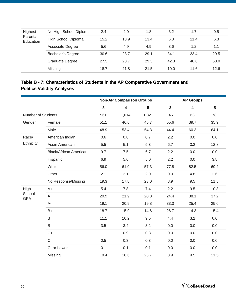<span id="page-19-0"></span>

| Highest               | No High School Diploma | 2.4  | 2.0  | 1.8  | 3.2  | 1.7  | 0.5  |  |
|-----------------------|------------------------|------|------|------|------|------|------|--|
| Parental<br>Education | High School Diploma    | 15.2 | 13.9 | 13.4 | 6.8  | 11.4 | 6.3  |  |
|                       | Associate Degree       | 5.6  | 4.9  | 4.9  | 3.6  | 1.2  | 1.1  |  |
|                       | Bachelor's Degree      | 30.6 | 28.7 | 29.1 | 34.1 | 33.4 | 29.5 |  |
|                       | Graduate Degree        | 27.5 | 28.7 | 29.3 | 42.3 | 40.6 | 50.0 |  |
|                       | Missing                | 18.7 | 21.8 | 21.5 | 10.0 | 11.6 | 12.6 |  |

### **Table B - 7: Characteristics of Students in the AP Comparative Government and Politics Validity Analyses**

|                           |                               |                         | <b>Non-AP Comparison Groups</b> |                | <b>AP Groups</b> |                         |                 |  |
|---------------------------|-------------------------------|-------------------------|---------------------------------|----------------|------------------|-------------------------|-----------------|--|
|                           |                               | $\overline{\mathbf{3}}$ | $\overline{\mathbf{4}}$         | $5\phantom{1}$ | $\overline{3}$   | $\overline{\mathbf{4}}$ | $5\phantom{.0}$ |  |
| <b>Number of Students</b> |                               | 961                     | 1,614                           | 1,821          | 45               | 63                      | 78              |  |
| Gender                    | Female                        | 51.1                    | 46.6                            | 45.7           | 55.6             | 39.7                    | 35.9            |  |
|                           | Male                          | 48.9                    | 53.4                            | 54.3           | 44.4             | 60.3                    | 64.1            |  |
| Race/                     | American Indian               | 0.6                     | 0.8                             | 0.7            | 2.2              | 0.0                     | 0.0             |  |
| Ethnicity                 | Asian American                | 5.5                     | 5.1                             | 5.3            | 6.7              | 3.2                     | 12.8            |  |
|                           | <b>Black/African American</b> | 9.7                     | 7.5                             | 6.7            | 2.2              | 0.0                     | 0.0             |  |
|                           | Hispanic                      | 6.9                     | 5.6                             | 5.0            | 2.2              | 0.0                     | 3.8             |  |
|                           | White                         | 56.0                    | 61.0                            | 57.3           | 77.8             | 82.5                    | 69.2            |  |
|                           | Other                         | 2.1                     | 2.1                             | 2.0            | 0.0              | 4.8                     | 2.6             |  |
|                           | No Response/Missing           | 19.3                    | 17.8                            | 23.0           | 8.9              | 9.5                     | 11.5            |  |
| High                      | $A+$                          | 5.4                     | 7.8                             | 7.4            | 2.2              | 9.5                     | 10.3            |  |
| School<br><b>GPA</b>      | A                             | 20.9                    | 21.9                            | 20.8           | 24.4             | 38.1                    | 37.2            |  |
|                           | $A -$                         | 19.1                    | 20.9                            | 19.8           | 33.3             | 25.4                    | 25.6            |  |
|                           | $B+$                          | 18.7                    | 15.9                            | 14.6           | 26.7             | 14.3                    | 15.4            |  |
|                           | B                             | 11.1                    | 10.2                            | 9.5            | 4.4              | 3.2                     | 0.0             |  |
|                           | <b>B-</b>                     | 3.5                     | 3.4                             | 3.2            | 0.0              | 0.0                     | 0.0             |  |
|                           | $C+$                          | 1.1                     | 0.9                             | 0.8            | 0.0              | 0.0                     | 0.0             |  |
|                           | $\mathsf C$                   | 0.5                     | 0.3                             | 0.3            | 0.0              | 0.0                     | 0.0             |  |
|                           | C- or Lower                   | 0.1                     | 0.1                             | 0.1            | 0.0              | 0.0                     | 0.0             |  |
|                           | Missing                       | 19.4                    | 18.6                            | 23.7           | 8.9              | 9.5                     | 11.5            |  |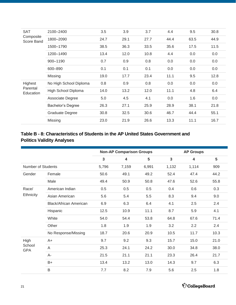<span id="page-20-0"></span>

| <b>SAT</b>              | 2100-2400              | 3.5  | 3.9  | 3.7  | 4.4  | 9.5  | 30.8 |
|-------------------------|------------------------|------|------|------|------|------|------|
| Composite<br>Score Band | 1800-2090              | 24.7 | 29.1 | 27.7 | 44.4 | 63.5 | 44.9 |
|                         | 1500-1790              | 38.5 | 36.3 | 33.5 | 35.6 | 17.5 | 11.5 |
|                         | 1200-1490              | 13.4 | 12.0 | 10.8 | 4.4  | 0.0  | 0.0  |
|                         | 900-1190               | 0.7  | 0.9  | 0.8  | 0.0  | 0.0  | 0.0  |
|                         | 600-890                | 0.1  | 0.1  | 0.1  | 0.0  | 0.0  | 0.0  |
|                         | Missing                | 19.0 | 17.7 | 23.4 | 11.1 | 9.5  | 12.8 |
| Highest                 | No High School Diploma | 0.8  | 0.9  | 0.8  | 0.0  | 0.0  | 0.0  |
| Parental<br>Education   | High School Diploma    | 14.0 | 13.2 | 12.0 | 11.1 | 4.8  | 6.4  |
|                         | Associate Degree       | 5.0  | 4.5  | 4.1  | 0.0  | 1.6  | 0.0  |
|                         | Bachelor's Degree      | 26.3 | 27.1 | 25.9 | 28.9 | 38.1 | 21.8 |
|                         | <b>Graduate Degree</b> | 30.8 | 32.5 | 30.6 | 46.7 | 44.4 | 55.1 |
|                         | Missing                | 23.0 | 21.9 | 26.6 | 13.3 | 11.1 | 16.7 |

### **Table B - 8: Characteristics of Students in the AP United States Government and Politics Validity Analyses**

|                           |                               |              | <b>Non-AP Comparison Groups</b> |       | <b>AP Groups</b> |       |      |  |
|---------------------------|-------------------------------|--------------|---------------------------------|-------|------------------|-------|------|--|
|                           |                               | $\mathbf{3}$ | 4                               | 5     | $\mathbf{3}$     | 4     | 5    |  |
| <b>Number of Students</b> |                               | 5,796        | 7,159                           | 6,991 | 1,132            | 1,114 | 909  |  |
| Gender                    | Female                        | 50.6         | 49.1                            | 49.2  | 52.4             | 47.4  | 44.2 |  |
|                           | Male                          | 49.4         | 50.9                            | 50.8  | 47.6             | 52.6  | 55.8 |  |
| Race/                     | American Indian               | 0.5          | 0.5                             | 0.5   | 0.4              | 0.6   | 0.3  |  |
| Ethnicity                 | Asian American                | 5.6          | 5.4                             | 5.5   | 8.3              | 9.4   | 9.0  |  |
|                           | <b>Black/African American</b> | 6.9          | 6.3                             | 6.4   | 4.1              | 2.5   | 2.4  |  |
|                           | Hispanic                      | 12.5         | 10.9                            | 11.1  | 8.7              | 5.9   | 4.1  |  |
|                           | White                         | 54.0         | 54.4                            | 53.8  | 64.8             | 67.6  | 71.4 |  |
|                           | Other                         | 1.8          | 1.9                             | 1.9   | 3.2              | 2.2   | 2.4  |  |
|                           | No Response/Missing           | 18.7         | 20.6                            | 20.9  | 10.5             | 11.7  | 10.3 |  |
| High                      | $A+$                          | 9.7          | 9.2                             | 9.3   | 15.7             | 15.0  | 21.0 |  |
| School<br><b>GPA</b>      | A                             | 25.3         | 24.1                            | 24.2  | 30.0             | 34.8  | 38.0 |  |
|                           | A-                            | 21.5         | 21.1                            | 21.1  | 23.3             | 26.4  | 21.7 |  |
|                           | $B+$                          | 13.4         | 13.2                            | 13.0  | 14.3             | 9.7   | 6.3  |  |
|                           | B                             | 7.7          | 8.2                             | 7.9   | 5.6              | 2.5   | 1.8  |  |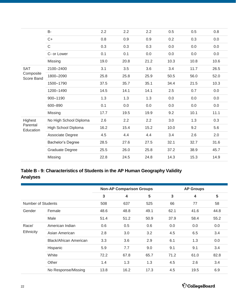<span id="page-21-0"></span>

|                         | B-                     | 2.2  | 2.2  | 2.2  | 0.5  | 0.5  | 0.8  |
|-------------------------|------------------------|------|------|------|------|------|------|
|                         | $C+$                   | 0.8  | 0.9  | 0.9  | 0.2  | 0.3  | 0.0  |
|                         | $\mathsf C$            | 0.3  | 0.3  | 0.3  | 0.0  | 0.0  | 0.0  |
|                         | C- or Lower            | 0.1  | 0.1  | 0.0  | 0.0  | 0.0  | 0.0  |
|                         | Missing                | 19.0 | 20.8 | 21.2 | 10.3 | 10.8 | 10.6 |
| <b>SAT</b>              | 2100-2400              | 3.1  | 3.5  | 3.6  | 3.4  | 11.7 | 26.5 |
| Composite<br>Score Band | 1800-2090              | 25.8 | 25.8 | 25.9 | 50.5 | 56.0 | 52.0 |
|                         | 1500-1790              | 37.5 | 35.7 | 35.1 | 34.4 | 21.5 | 10.3 |
|                         | 1200-1490              | 14.5 | 14.1 | 14.1 | 2.5  | 0.7  | 0.0  |
|                         | 900-1190               | 1.3  | 1.3  | 1.3  | 0.0  | 0.0  | 0.0  |
|                         | 600-890                | 0.1  | 0.0  | 0.0  | 0.0  | 0.0  | 0.0  |
|                         | Missing                | 17.7 | 19.5 | 19.9 | 9.2  | 10.1 | 11.1 |
| Highest                 | No High School Diploma | 2.6  | 2.2  | 2.2  | 3.0  | 1.3  | 0.3  |
| Parental<br>Education   | High School Diploma    | 16.2 | 15.4 | 15.2 | 10.0 | 9.2  | 5.6  |
|                         | Associate Degree       | 4.5  | 4.4  | 4.4  | 3.4  | 2.6  | 2.0  |
|                         | Bachelor's Degree      | 28.5 | 27.6 | 27.5 | 32.1 | 32.7 | 31.6 |
|                         | <b>Graduate Degree</b> | 25.5 | 26.0 | 25.8 | 37.2 | 38.9 | 45.7 |
|                         | Missing                | 22.8 | 24.5 | 24.8 | 14.3 | 15.3 | 14.9 |
|                         |                        |      |      |      |      |      |      |

### **Table B - 9: Characteristics of Students in the AP Human Geography Validity Analyses**

|                    |                        |              | <b>Non-AP Comparison Groups</b> |      | <b>AP Groups</b> |      |      |  |
|--------------------|------------------------|--------------|---------------------------------|------|------------------|------|------|--|
|                    |                        | $\mathbf{3}$ | 4                               | 5    | 3                | 4    | 5    |  |
| Number of Students |                        | 508          | 637                             | 525  | 66               | 77   | 58   |  |
| Gender             | Female                 | 48.6         | 48.8                            | 49.1 | 62.1             | 41.6 | 44.8 |  |
|                    | Male                   | 51.4         | 51.2                            | 50.9 | 37.9             | 58.4 | 55.2 |  |
| Race/              | American Indian        | 0.6          | 0.5                             | 0.6  | 0.0              | 0.0  | 0.0  |  |
| Ethnicity          | Asian American         | 2.8          | 3.0                             | 3.2  | 4.5              | 6.5  | 3.4  |  |
|                    | Black/African American | 3.3          | 3.6                             | 2.9  | 6.1              | 1.3  | 0.0  |  |
|                    | Hispanic               | 5.9          | 7.7                             | 9.0  | 9.1              | 9.1  | 3.4  |  |
|                    | White                  | 72.2         | 67.8                            | 65.7 | 71.2             | 61.0 | 82.8 |  |
|                    | Other                  | 1.4          | 1.3                             | 1.3  | 4.5              | 2.6  | 3.4  |  |
|                    | No Response/Missing    | 13.8         | 16.2                            | 17.3 | 4.5              | 19.5 | 6.9  |  |

 $\acute{\nabla}$ CollegeBoard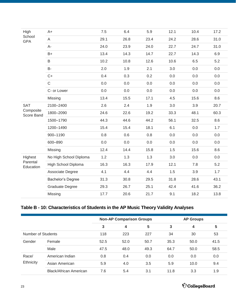<span id="page-22-0"></span>

| High                    | $A+$                   | 7.5  | 6.4  | 5.9  | 12.1 | 10.4 | 17.2    |
|-------------------------|------------------------|------|------|------|------|------|---------|
| School<br><b>GPA</b>    | A                      | 29.1 | 26.8 | 23.4 | 24.2 | 28.6 | 31.0    |
|                         | $A-$                   | 24.0 | 23.9 | 24.0 | 22.7 | 24.7 | 31.0    |
|                         | $B+$                   | 13.4 | 14.3 | 14.7 | 22.7 | 14.3 | 6.9     |
|                         | B                      | 10.2 | 10.8 | 12.6 | 10.6 | 6.5  | 5.2     |
|                         | <b>B-</b>              | 2.0  | 1.9  | 2.1  | 3.0  | 0.0  | $0.0\,$ |
|                         | $C+$                   | 0.4  | 0.3  | 0.2  | 0.0  | 0.0  | 0.0     |
|                         | $\mathsf C$            | 0.0  | 0.0  | 0.0  | 0.0  | 0.0  | 0.0     |
|                         | C- or Lower            | 0.0  | 0.0  | 0.0  | 0.0  | 0.0  | 0.0     |
|                         | Missing                | 13.4 | 15.5 | 17.1 | 4.5  | 15.6 | 8.6     |
| <b>SAT</b>              | 2100-2400              | 2.6  | 2.4  | 1.9  | 3.0  | 3.9  | 20.7    |
| Composite<br>Score Band | 1800-2090              | 24.6 | 22.6 | 19.2 | 33.3 | 48.1 | 60.3    |
|                         | 1500-1790              | 44.3 | 44.6 | 44.2 | 56.1 | 32.5 | 8.6     |
|                         | 1200-1490              | 15.4 | 15.4 | 18.1 | 6.1  | 0.0  | 1.7     |
|                         | 900-1190               | 0.8  | 0.6  | 0.8  | 0.0  | 0.0  | $0.0\,$ |
|                         | 600-890                | 0.0  | 0.0  | 0.0  | 0.0  | 0.0  | 0.0     |
|                         | Missing                | 12.4 | 14.4 | 15.8 | 1.5  | 15.6 | 8.6     |
| Highest                 | No High School Diploma | 1.2  | 1.3  | 1.3  | 3.0  | 0.0  | $0.0\,$ |
| Parental<br>Education   | High School Diploma    | 16.3 | 16.3 | 17.9 | 12.1 | 7.8  | 5.2     |
|                         | Associate Degree       | 4.1  | 4.4  | 4.4  | 1.5  | 3.9  | 1.7     |
|                         | Bachelor's Degree      | 31.3 | 30.8 | 29.5 | 31.8 | 28.6 | 43.1    |
|                         | <b>Graduate Degree</b> | 29.3 | 26.7 | 25.1 | 42.4 | 41.6 | 36.2    |
|                         | Missing                | 17.7 | 20.6 | 21.7 | 9.1  | 18.2 | 13.8    |

#### **Table B - 10: Characteristics of Students in the AP Music Theory Validity Analyses**

|                    |                               | <b>Non-AP Comparison Groups</b> |      |                |                  |      |      |  |
|--------------------|-------------------------------|---------------------------------|------|----------------|------------------|------|------|--|
|                    |                               |                                 |      |                | <b>AP Groups</b> |      |      |  |
|                    |                               | 3                               | 4    | $5\phantom{1}$ | 3                | 4    | 5    |  |
| Number of Students |                               | 118                             | 223  | 227            | 53<br>34<br>30   |      |      |  |
| Gender             | Female                        | 52.5                            | 52.0 | 50.7           | 35.3             | 50.0 | 41.5 |  |
|                    | Male                          | 47.5                            | 48.0 | 49.3           | 64.7             | 50.0 | 58.5 |  |
| Race/<br>Ethnicity | American Indian               | 0.8                             | 0.4  | 0.0            | 0.0              | 0.0  | 0.0  |  |
|                    | Asian American                | 5.9                             | 4.0  | 3.5            | 5.9              | 10.0 | 9.4  |  |
|                    | <b>Black/African American</b> | 7.6                             | 5.4  | 3.1            | 11.8             | 3.3  | 1.9  |  |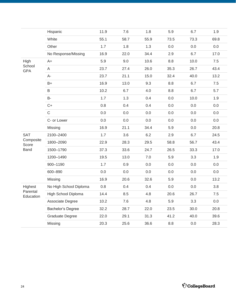|                       | Hispanic               | 11.9 | 7.6  | 1.8  | 5.9  | 6.7  | 1.9  |
|-----------------------|------------------------|------|------|------|------|------|------|
|                       | White                  | 55.1 | 58.7 | 55.9 | 73.5 | 73.3 | 69.8 |
|                       | Other                  | 1.7  | 1.8  | 1.3  | 0.0  | 0.0  | 0.0  |
|                       | No Response/Missing    | 16.9 | 22.0 | 34.4 | 2.9  | 6.7  | 17.0 |
| High                  | $A+$                   | 5.9  | 9.0  | 10.6 | 8.8  | 10.0 | 7.5  |
| School<br><b>GPA</b>  | $\mathsf A$            | 23.7 | 27.4 | 26.0 | 35.3 | 26.7 | 43.4 |
|                       | $A-$                   | 23.7 | 21.1 | 15.0 | 32.4 | 40.0 | 13.2 |
|                       | $B+$                   | 16.9 | 13.0 | 9.3  | 8.8  | 6.7  | 7.5  |
|                       | B                      | 10.2 | 6.7  | 4.0  | 8.8  | 6.7  | 5.7  |
|                       | <b>B-</b>              | 1.7  | 1.3  | 0.4  | 0.0  | 10.0 | 1.9  |
|                       | $C+$                   | 0.8  | 0.4  | 0.4  | 0.0  | 0.0  | 0.0  |
|                       | $\mathsf C$            | 0.0  | 0.0  | 0.0  | 0.0  | 0.0  | 0.0  |
|                       | C- or Lower            | 0.0  | 0.0  | 0.0  | 0.0  | 0.0  | 0.0  |
|                       | Missing                | 16.9 | 21.1 | 34.4 | 5.9  | 0.0  | 20.8 |
| SAT                   | 2100-2400              | 1.7  | 3.6  | 6.2  | 2.9  | 6.7  | 24.5 |
| Composite<br>Score    | 1800-2090              | 22.9 | 28.3 | 29.5 | 58.8 | 56.7 | 43.4 |
| <b>Band</b>           | 1500-1790              | 37.3 | 33.6 | 24.7 | 26.5 | 33.3 | 17.0 |
|                       | 1200-1490              | 19.5 | 13.0 | 7.0  | 5.9  | 3.3  | 1.9  |
|                       | 900-1190               | 1.7  | 0.9  | 0.0  | 0.0  | 0.0  | 0.0  |
|                       | 600-890                | 0.0  | 0.0  | 0.0  | 0.0  | 0.0  | 0.0  |
|                       | Missing                | 16.9 | 20.6 | 32.6 | 5.9  | 0.0  | 13.2 |
| Highest               | No High School Diploma | 0.8  | 0.4  | 0.4  | 0.0  | 0.0  | 3.8  |
| Parental<br>Education | High School Diploma    | 14.4 | 8.5  | 4.8  | 20.6 | 26.7 | 7.5  |
|                       | Associate Degree       | 10.2 | 7.6  | 4.8  | 5.9  | 3.3  | 0.0  |
|                       | Bachelor's Degree      | 32.2 | 28.7 | 22.0 | 23.5 | 30.0 | 20.8 |
|                       | Graduate Degree        | 22.0 | 29.1 | 31.3 | 41.2 | 40.0 | 39.6 |
|                       | Missing                | 20.3 | 25.6 | 36.6 | 8.8  | 0.0  | 28.3 |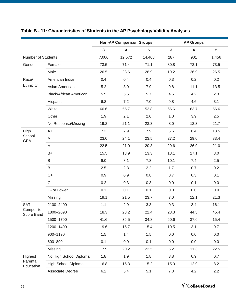|                           |                               |              | <b>Non-AP Comparison Groups</b> |                |              | <b>AP Groups</b>        |       |
|---------------------------|-------------------------------|--------------|---------------------------------|----------------|--------------|-------------------------|-------|
|                           |                               | $\mathbf{3}$ | $\overline{\mathbf{4}}$         | $5\phantom{a}$ | $\mathbf{3}$ | $\overline{\mathbf{4}}$ | 5     |
| <b>Number of Students</b> |                               | 7,000        | 12,572                          | 14,408         | 287          | 901                     | 1,456 |
| Gender                    | Female                        | 73.5         | 71.4                            | 71.1           | 80.8         | 73.1                    | 73.5  |
|                           | Male                          | 26.5         | 28.6                            | 28.9           | 19.2         | 26.9                    | 26.5  |
| Race/                     | American Indian               | 0.4          | 0.4                             | 0.4            | 0.3          | 0.2                     | 0.2   |
| Ethnicity                 | Asian American                | 5.2          | 8.0                             | 7.9            | 9.8          | 11.1                    | 13.5  |
|                           | <b>Black/African American</b> | 5.9          | 5.5                             | 5.7            | 4.5          | 4.2                     | 2.3   |
|                           | Hispanic                      | 6.8          | 7.2                             | 7.0            | 9.8          | 4.6                     | 3.1   |
|                           | White                         | 60.6         | 55.7                            | 53.8           | 66.6         | 63.7                    | 56.6  |
|                           | Other                         | 1.9          | 2.1                             | 2.0            | 1.0          | 3.9                     | 2.5   |
|                           | No Response/Missing           | 19.2         | 21.1                            | 23.3           | 8.0          | 12.3                    | 21.7  |
| High                      | $A+$                          | 7.3          | 7.9                             | 7.9            | 5.6          | 6.4                     | 13.5  |
| School<br><b>GPA</b>      | A                             | 23.0         | 24.1                            | 23.5           | 27.2         | 29.0                    | 33.4  |
|                           | A-                            | 22.5         | 21.0                            | 20.3           | 29.6         | 26.9                    | 21.0  |
|                           | B+                            | 15.5         | 13.9                            | 13.3           | 18.1         | 17.1                    | 8.0   |
|                           | B                             | 9.0          | 8.1                             | 7.8            | 10.1         | 7.4                     | 2.5   |
|                           | <b>B-</b>                     | 2.5          | 2.3                             | 2.2            | 1.7          | 0.7                     | 0.2   |
|                           | $C+$                          | 0.9          | 0.9                             | 0.8            | 0.7          | 0.3                     | 0.1   |
|                           | $\mathsf C$                   | 0.2          | 0.3                             | 0.3            | 0.0          | 0.1                     | 0.0   |
|                           | C- or Lower                   | 0.1          | 0.1                             | 0.1            | 0.0          | 0.0                     | 0.0   |
|                           | Missing                       | 19.1         | 21.5                            | 23.7           | 7.0          | 12.1                    | 21.3  |
| <b>SAT</b>                | 2100-2400                     | 1.1          | 2.9                             | 3.3            | 0.3          | 3.4                     | 16.1  |
| Composite<br>Score Band   | 1800-2090                     | 18.3         | 23.2                            | 22.4           | 23.3         | 44.5                    | 45.4  |
|                           | 1500-1790                     | 41.6         | 36.5                            | 34.8           | 60.6         | 37.6                    | 15.4  |
|                           | 1200-1490                     | 19.6         | 15.7                            | 15.4           | 10.5         | 3.1                     | 0.7   |
|                           | 900-1190                      | 1.5          | 1.4                             | 1.5            | 0.0          | 0.0                     | 0.0   |
|                           | 600-890                       | 0.1          | 0.0                             | 0.1            | 0.0          | 0.0                     | 0.0   |
|                           | Missing                       | 17.9         | 20.2                            | 22.5           | 5.2          | 11.3                    | 22.5  |
| Highest                   | No High School Diploma        | 1.8          | 1.9                             | 1.8            | 3.8          | 0.9                     | 0.7   |
| Parental<br>Education     | High School Diploma           | 16.8         | 15.3                            | 15.2           | 15.0         | 12.9                    | 8.2   |
|                           | Associate Degree              | $6.2\,$      | 5.4                             | 5.1            | $7.3$        | 4.2                     | 2.2   |

# <span id="page-24-0"></span>**Table B - 11: Characteristics of Students in the AP Psychology Validity Analyses**

 $\acute{\nabla}$ CollegeBoard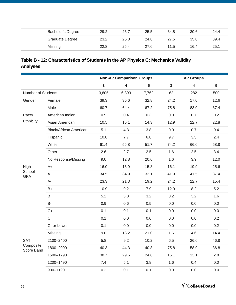<span id="page-25-0"></span>

|  | Bachelor's Degree      | 29.2 | 26.7 | 25.5 | 34.8 | 30.6 | 24.4 |
|--|------------------------|------|------|------|------|------|------|
|  | <b>Graduate Degree</b> | 23.2 | 25.3 | 24.8 | 27.5 | 35.0 | 39.4 |
|  | Missing                | 22.8 | 25.4 | 27.6 | 11.5 | 16.4 | 25.1 |

### **Table B - 12: Characteristics of Students in the AP Physics C: Mechanics Validity Analyses**

|                           |                               |                | <b>Non-AP Comparison Groups</b> |                |                | <b>AP Groups</b>        |               |
|---------------------------|-------------------------------|----------------|---------------------------------|----------------|----------------|-------------------------|---------------|
|                           |                               | $\overline{3}$ | $\overline{\mathbf{4}}$         | $5\phantom{a}$ | $\overline{3}$ | $\overline{\mathbf{4}}$ | 5             |
| <b>Number of Students</b> |                               | 3,805          | 6,393                           | 7,762          | 62             | 282                     | 500           |
| Gender                    | Female                        | 39.3           | 35.6                            | 32.8           | 24.2           | 17.0                    | 12.6          |
|                           | Male                          | 60.7           | 64.4                            | 67.2           | 75.8           | 83.0                    | 87.4          |
| Race/                     | American Indian               | 0.5            | 0.4                             | 0.3            | 0.0            | 0.7                     | 0.2           |
| Ethnicity                 | Asian American                | 10.5           | 15.1                            | 14.3           | 12.9           | 22.7                    | 22.8          |
|                           | <b>Black/African American</b> | 5.1            | 4.3                             | 3.8            | 0.0            | 0.7                     | 0.4           |
|                           | Hispanic                      | 10.8           | 7.7                             | 6.8            | 9.7            | 3.5                     | $2.4^{\circ}$ |
|                           | White                         | 61.4           | 56.8                            | 51.7           | 74.2           | 66.0                    | 58.8          |
|                           | Other                         | 2.6            | 2.7                             | 2.5            | 1.6            | 2.5                     | 3.4           |
|                           | No Response/Missing           | 9.0            | 12.8                            | 20.6           | 1.6            | 3.9                     | 12.0          |
| High                      | A+                            | 16.0           | 16.9                            | 15.8           | 16.1           | 19.9                    | 25.6          |
| School<br><b>GPA</b>      | A                             | 34.5           | 34.9                            | 32.1           | 41.9           | 41.5                    | 37.4          |
|                           | A-                            | 23.3           | 21.3                            | 19.2           | 24.2           | 22.7                    | 15.4          |
|                           | $B+$                          | 10.9           | 9.2                             | 7.9            | 12.9           | 8.2                     | 5.2           |
|                           | B                             | 5.2            | 3.8                             | 3.2            | 3.2            | 3.2                     | 1.6           |
|                           | B-                            | 0.9            | 0.6                             | 0.5            | 0.0            | 0.0                     | 0.0           |
|                           | $C+$                          | 0.1            | 0.1                             | 0.1            | 0.0            | 0.0                     | 0.0           |
|                           | $\mathsf{C}$                  | 0.1            | 0.0                             | 0.0            | 0.0            | 0.0                     | 0.2           |
|                           | C- or Lower                   | 0.1            | 0.0                             | 0.0            | 0.0            | 0.0                     | 0.2           |
|                           | Missing                       | 9.0            | 13.2                            | 21.0           | 1.6            | 4.6                     | 14.4          |
| SAT                       | 2100-2400                     | 5.8            | 9.2                             | 10.2           | 6.5            | 26.6                    | 46.8          |
| Composite<br>Score Band   | 1800-2090                     | 40.3           | 44.3                            | 40.8           | 75.8           | 58.9                    | 36.8          |
|                           | 1500-1790                     | 38.7           | 29.6                            | 24.8           | 16.1           | 13.1                    | 2.8           |
|                           | 1200-1490                     | 7.4            | 5.1                             | 3.8            | 1.6            | 0.4                     | 0.0           |
|                           | 900-1190                      | 0.2            | 0.1                             | 0.1            | 0.0            | 0.0                     | 0.0           |

 $\acute{\nabla}$ CollegeBoard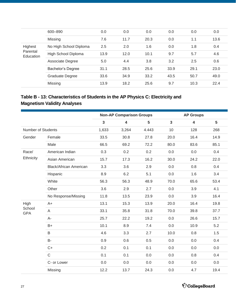<span id="page-26-0"></span>

|                                         | 600-890                | 0.0  | 0.0  | 0.0  | 0.0  | 0.0  | 0.0  |
|-----------------------------------------|------------------------|------|------|------|------|------|------|
|                                         | Missing                | 7.6  | 11.7 | 20.3 | 0.0  | 1.1  | 13.6 |
| Highest<br>Parental<br><b>Education</b> | No High School Diploma | 2.5  | 2.0  | 1.6  | 0.0  | 1.8  | 0.4  |
|                                         | High School Diploma    | 13.9 | 12.0 | 10.1 | 9.7  | 5.7  | 4.6  |
|                                         | Associate Degree       | 5.0  | 4.4  | 3.8  | 3.2  | 2.5  | 0.6  |
|                                         | Bachelor's Degree      | 31.1 | 28.5 | 25.6 | 33.9 | 29.1 | 23.0 |
|                                         | Graduate Degree        | 33.6 | 34.9 | 33.2 | 43.5 | 50.7 | 49.0 |
|                                         | Missing                | 13.9 | 18.2 | 25.6 | 9.7  | 10.3 | 22.4 |

### **Table B - 13: Characteristics of Students in the AP Physics C: Electricity and Magnetism Validity Analyses**

|                      |                               | <b>Non-AP Comparison Groups</b> |                         |       | <b>AP Groups</b> |                         |      |  |
|----------------------|-------------------------------|---------------------------------|-------------------------|-------|------------------|-------------------------|------|--|
|                      |                               | $\overline{\mathbf{3}}$         | $\overline{\mathbf{4}}$ | 5     | $\overline{3}$   | $\overline{\mathbf{4}}$ | 5    |  |
| Number of Students   |                               | 1,633                           | 3,264                   | 4.443 | 10               | 128                     | 268  |  |
| Gender               | Female                        | 33.5                            | 30.8                    | 27.8  | 20.0             | 16.4                    | 14.9 |  |
|                      | Male                          | 66.5                            | 69.2                    | 72.2  | 80.0             | 83.6                    | 85.1 |  |
| Race/                | American Indian               | 0.3                             | 0.2                     | 0.2   | 0.0              | 0.0                     | 0.4  |  |
| Ethnicity            | Asian American                | 15.7                            | 17.3                    | 16.2  | 30.0             | 24.2                    | 22.0 |  |
|                      | <b>Black/African American</b> | 3.3                             | 3.6                     | 2.9   | 0.0              | 0.8                     | 0.4  |  |
|                      | Hispanic                      | 8.9                             | 6.2                     | 5.1   | 0.0              | 1.6                     | 3.4  |  |
|                      | White                         | 56.3                            | 56.3                    | 48.9  | 70.0             | 65.6                    | 53.4 |  |
|                      | Other                         | 3.6                             | 2.9                     | 2.7   | 0.0              | 3.9                     | 4.1  |  |
|                      | No Response/Missing           | 11.8                            | 13.5                    | 23.9  | 0.0              | 3.9                     | 16.4 |  |
| High                 | $A+$                          | 13.1                            | 15.3                    | 13.9  | 20.0             | 16.4                    | 19.8 |  |
| School<br><b>GPA</b> | A                             | 33.1                            | 35.8                    | 31.8  | 70.0             | 39.8                    | 37.7 |  |
|                      | $A -$                         | 25.7                            | 22.2                    | 19.2  | 0.0              | 26.6                    | 15.7 |  |
|                      | $B+$                          | 10.1                            | 8.9                     | 7.4   | 0.0              | 10.9                    | 5.2  |  |
|                      | B                             | 4.6                             | 3.3                     | 2.7   | 10.0             | 0.8                     | 1.5  |  |
|                      | <b>B-</b>                     | 0.9                             | 0.6                     | 0.5   | 0.0              | 0.0                     | 0.4  |  |
|                      | $C+$                          | 0.2                             | 0.1                     | 0.1   | 0.0              | 0.0                     | 0.0  |  |
|                      | $\mathsf{C}$                  | 0.1                             | 0.1                     | 0.0   | 0.0              | 0.8                     | 0.4  |  |
|                      | C- or Lower                   | 0.0                             | 0.0                     | 0.0   | 0.0              | 0.0                     | 0.0  |  |
|                      | Missing                       | 12.2                            | 13.7                    | 24.3  | 0.0              | 4.7                     | 19.4 |  |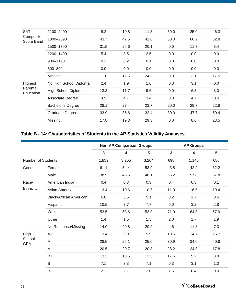<span id="page-27-0"></span>

| <b>SAT</b>              | 2100-2400              | 8.2  | 10.8 | 11.3 | 50.0 | 25.0 | 46.3 |
|-------------------------|------------------------|------|------|------|------|------|------|
| Composite<br>Score Band | 1800-2090              | 43.7 | 47.5 | 41.8 | 50.0 | 60.2 | 32.8 |
|                         | 1500-1790              | 31.5 | 25.6 | 20.1 | 0.0  | 11.7 | 3.4  |
|                         | 1200-1490              | 5.4  | 3.5  | 2.5  | 0.0  | 0.0  | 0.0  |
|                         | 900-1190               | 0.2  | 0.2  | 0.1  | 0.0  | 0.0  | 0.0  |
|                         | 600-890                | 0.0  | 0.0  | 0.0  | 0.0  | 0.0  | 0.0  |
|                         | Missing                | 11.0 | 12.5 | 24.3 | 0.0  | 3.1  | 17.5 |
| Highest                 | No High School Diploma | 2.4  | 1.9  | 1.6  | 0.0  | 3.1  | 0.0  |
| Parental<br>Education   | High School Diploma    | 13.3 | 11.7 | 9.6  | 0.0  | 6.3  | 3.0  |
|                         | Associate Degree       | 4.5  | 4.1  | 3.4  | 0.0  | 4.7  | 0.4  |
|                         | Bachelor's Degree      | 28.1 | 27.4 | 23.7 | 20.0 | 29.7 | 22.8 |
|                         | <b>Graduate Degree</b> | 33.9 | 35.6 | 32.4 | 80.0 | 47.7 | 50.4 |
|                         | Missing                | 17.8 | 19.3 | 29.3 | 0.0  | 8.6  | 23.5 |

#### **Table B - 14: Characteristics of Students in the AP Statistics Validity Analyses**

|                           |                               |                         | <b>Non-AP Comparison Groups</b> |       |                         | <b>AP Groups</b> |                 |
|---------------------------|-------------------------------|-------------------------|---------------------------------|-------|-------------------------|------------------|-----------------|
|                           |                               | $\overline{\mathbf{3}}$ | 4                               | 5     | $\overline{\mathbf{3}}$ | 4                | $5\phantom{.0}$ |
| <b>Number of Students</b> |                               | 1,859                   | 3,255                           | 3,204 | 698                     | 1,146            | 686             |
| Gender                    | Female                        | 61.1                    | 54.4                            | 53.9  | 43.8                    | 42.2             | 32.2            |
|                           | Male                          | 38.9                    | 45.6                            | 46.1  | 56.2                    | 57.8             | 67.8            |
| Race/                     | American Indian               | 0.4                     | 0.3                             | 0.3   | 0.4                     | 0.3              | 0.1             |
| Ethnicity                 | Asian American                | 13.4                    | 10.6                            | 10.7  | 11.9                    | 16.5             | 19.4            |
|                           | <b>Black/African American</b> | 6.8                     | 5.5                             | 5.1   | 3.2                     | 1.7              | 0.6             |
|                           | Hispanic                      | 10.5                    | 7.7                             | 7.7   | 6.0                     | 3.2              | 2.8             |
|                           | White                         | 53.5                    | 53.6                            | 53.9  | 71.9                    | 64.8             | 67.9            |
|                           | Other                         | 1.4                     | 1.5                             | 1.5   | 2.0                     | 1.7              | 1.9             |
|                           | No Response/Missing           | 14.0                    | 20.8                            | 20.9  | 4.6                     | 11.8             | 7.3             |
| High                      | A+                            | 13.4                    | 9.9                             | 9.9   | 10.5                    | 14.7             | 25.7            |
| School<br><b>GPA</b>      | A                             | 28.5                    | 25.1                            | 25.0  | 30.9                    | 34.0             | 40.8            |
|                           | $A-$                          | 20.5                    | 20.7                            | 20.8  | 28.2                    | 24.8             | 17.8            |
|                           | $B+$                          | 13.2                    | 13.5                            | 13.5  | 17.6                    | 9.2              | 3.8             |
|                           | B                             | 7.1                     | 7.3                             | 7.1   | 6.3                     | 3.1              | 1.0             |
|                           | B-                            | 2.2                     | 2.1                             | 2.0   | 1.6                     | 0.4              | 0.0             |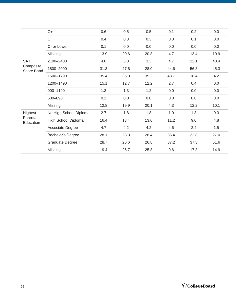|                                       | $C+$                   | 0.6  | 0.5     | 0.5  | 0.1  | 0.2  | 0.0  |
|---------------------------------------|------------------------|------|---------|------|------|------|------|
|                                       | $\mathsf C$            | 0.4  | 0.3     | 0.3  | 0.0  | 0.1  | 0.0  |
|                                       | C- or Lower            | 0.1  | $0.0\,$ | 0.0  | 0.0  | 0.0  | 0.0  |
|                                       | Missing                | 13.9 | 20.6    | 20.8 | 4.7  | 13.4 | 10.9 |
| <b>SAT</b><br>Composite<br>Score Band | 2100-2400              | 4.0  | 3.3     | 3.3  | 4.7  | 12.1 | 40.4 |
|                                       | 1800-2090              | 31.3 | 27.6    | 28.0 | 44.6 | 56.8 | 45.3 |
|                                       | 1500-1790              | 35.4 | 35.3    | 35.2 | 43.7 | 18.4 | 4.2  |
|                                       | 1200-1490              | 15.1 | 12.7    | 12.2 | 2.7  | 0.4  | 0.0  |
|                                       | 900-1190               | 1.3  | 1.3     | 1.2  | 0.0  | 0.0  | 0.0  |
|                                       | 600-890                | 0.1  | 0.0     | 0.0  | 0.0  | 0.0  | 0.0  |
|                                       | Missing                | 12.8 | 19.9    | 20.1 | 4.3  | 12.2 | 10.1 |
| Highest                               | No High School Diploma | 2.7  | 1.8     | 1.8  | 1.0  | 1.3  | 0.3  |
| Parental<br>Education                 | High School Diploma    | 16.4 | 13.4    | 13.0 | 11.2 | 9.0  | 4.8  |
|                                       | Associate Degree       | 4.7  | 4.2     | 4.2  | 4.6  | 2.4  | 1.5  |
|                                       | Bachelor's Degree      | 28.1 | 28.3    | 28.4 | 36.4 | 32.8 | 27.0 |
|                                       | Graduate Degree        | 28.7 | 26.6    | 26.8 | 37.2 | 37.3 | 51.6 |
|                                       | Missing                | 19.4 | 25.7    | 25.8 | 9.6  | 17.3 | 14.9 |